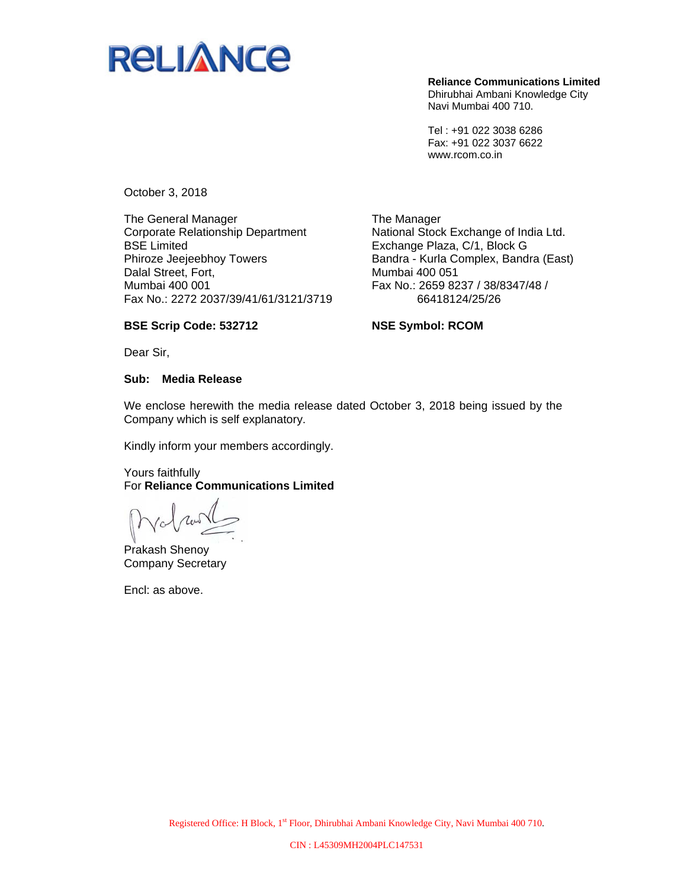

**Reliance Communications Limited**  Dhirubhai Ambani Knowledge City Navi Mumbai 400 710.

Tel : +91 022 3038 6286 Fax: +91 022 3037 6622 www.rcom.co.in

October 3, 2018

The General Manager Corporate Relationship Department BSE Limited Phiroze Jeejeebhoy Towers Dalal Street, Fort, Mumbai 400 001 Fax No.: 2272 2037/39/41/61/3121/3719

The Manager National Stock Exchange of India Ltd. Exchange Plaza, C/1, Block G Bandra - Kurla Complex, Bandra (East) Mumbai 400 051 Fax No.: 2659 8237 / 38/8347/48 / 66418124/25/26

#### **BSE Scrip Code: 532712**

**NSE Symbol: RCOM** 

Dear Sir,

#### **Sub: Media Release**

We enclose herewith the media release dated October 3, 2018 being issued by the Company which is self explanatory.

Kindly inform your members accordingly.

#### Yours faithfully For **Reliance Communications Limited**

Prakash Shenoy Company Secretary

Encl: as above.